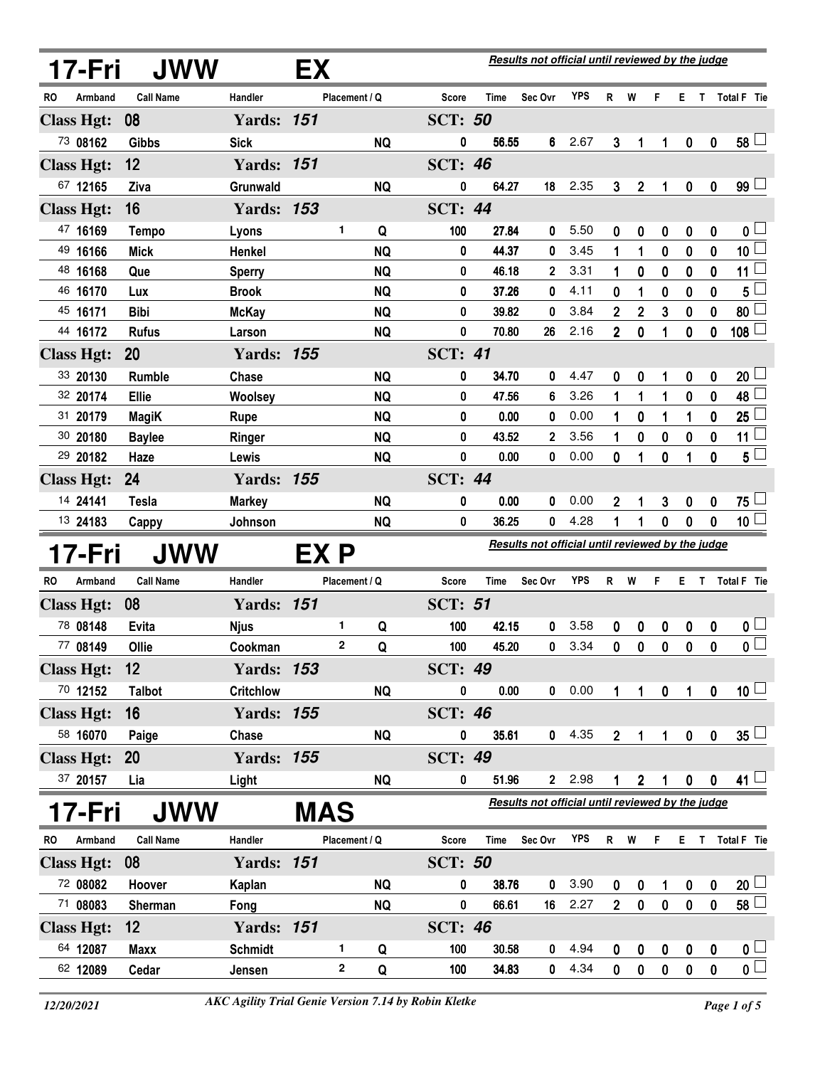|     | 17-Fri               | <b>JWW</b>              |                          | EX         |                        |                     |                | Results not official until reviewed by the judge |              |                  |                  |                |                       |                  |                                           |
|-----|----------------------|-------------------------|--------------------------|------------|------------------------|---------------------|----------------|--------------------------------------------------|--------------|------------------|------------------|----------------|-----------------------|------------------|-------------------------------------------|
| RO. | Armband              | <b>Call Name</b>        | Handler                  |            | Placement / Q          | Score               | <b>Time</b>    | Sec Ovr                                          | <b>YPS</b>   | R.               | W                | F              |                       |                  | E T Total F Tie                           |
|     | <b>Class Hgt:</b>    | 08                      | <b>Yards: 151</b>        |            |                        | <b>SCT: 50</b>      |                |                                                  |              |                  |                  |                |                       |                  |                                           |
|     | 73 08162             | <b>Gibbs</b>            | <b>Sick</b>              |            | <b>NQ</b>              | 0                   | 56.55          | 6                                                | 2.67         | 3                | 1                | 1              | $\boldsymbol{0}$      | $\mathbf 0$      | $58\perp$                                 |
|     | <b>Class Hgt:</b>    | 12                      | <b>Yards: 151</b>        |            |                        | <b>SCT: 46</b>      |                |                                                  |              |                  |                  |                |                       |                  |                                           |
|     | 67 12165             | Ziva                    | Grunwald                 |            | <b>NQ</b>              | 0                   | 64.27          | 18                                               | 2.35         | $\mathbf{3}$     | $\overline{2}$   | $\mathbf{1}$   | $\mathbf 0$           | $\boldsymbol{0}$ | $99 \Box$                                 |
|     | <b>Class Hgt:</b>    | 16                      | <b>Yards: 153</b>        |            |                        | <b>SCT: 44</b>      |                |                                                  |              |                  |                  |                |                       |                  |                                           |
|     | 47 16169             | <b>Tempo</b>            | Lyons                    |            | 1<br>Q                 | 100                 | 27.84          | 0                                                | 5.50         | 0                | 0                | 0              | 0                     | 0                | 0 <sub>0</sub>                            |
|     | 49 16166             | <b>Mick</b>             | Henkel                   |            | <b>NQ</b>              | 0                   | 44.37          | 0                                                | 3.45         | 1                | 1                | 0              | 0                     | 0                | $\overline{\mathbf{10}}$                  |
|     | 48 16168             | Que                     | <b>Sperry</b>            |            | <b>NQ</b>              | 0                   | 46.18          | $\mathbf{2}$                                     | 3.31         | 1                | 0                | 0              | 0                     | 0                | 11 <sup>1</sup>                           |
|     | 46 16170             | Lux                     | <b>Brook</b>             |            | <b>NQ</b>              | 0                   | 37.26          | 0                                                | 4.11         | 0                | 1                | 0              | 0                     | 0                | 5                                         |
|     | 45 16171             | <b>Bibi</b>             | <b>McKay</b>             |            | <b>NQ</b>              | 0                   | 39.82          | 0                                                | 3.84         | 2                | $\boldsymbol{2}$ | 3              | 0                     | 0                | 80 <sup>1</sup>                           |
|     | 44 16172             | <b>Rufus</b>            | Larson                   |            | <b>NQ</b>              | 0                   | 70.80          | 26                                               | 2.16         | $\overline{2}$   | 0                | 1              | 0                     | 0                | 108                                       |
|     | <b>Class Hgt:</b>    | 20                      | <b>Yards: 155</b>        |            |                        | <b>SCT: 41</b>      |                |                                                  |              |                  |                  |                |                       |                  |                                           |
|     | 33 20130             | <b>Rumble</b>           | Chase                    |            | <b>NQ</b>              | 0                   | 34.70          | 0                                                | 4.47         | 0                | 0                |                | 0                     | 0                | $20\perp$                                 |
|     | 32 20174             | Ellie                   | <b>Woolsey</b>           |            | <b>NQ</b>              | 0                   | 47.56          | 6                                                | 3.26         | 1                | 1                | 1              | 0                     | 0                | 48                                        |
|     | 31 20179             | <b>MagiK</b>            | <b>Rupe</b>              |            | <b>NQ</b>              | 0                   | 0.00           | 0                                                | 0.00         | 1                | 0                | 1              | 1                     | 0                | 25                                        |
|     | 30 20180             | <b>Baylee</b>           | Ringer                   |            | <b>NQ</b>              | 0                   | 43.52          | 2                                                | 3.56         | 1                | 0                | 0              | 0                     | 0                | 11                                        |
|     | 29 20182             | Haze                    | Lewis                    |            | <b>NQ</b>              | 0                   | 0.00           | 0                                                | 0.00         | 0                | 1                | 0              | 1                     | 0                | $5^{\square}$                             |
|     | <b>Class Hgt:</b>    | 24                      | <b>Yards: 155</b>        |            |                        | <b>SCT: 44</b>      |                |                                                  |              |                  |                  |                |                       |                  |                                           |
|     | 14 24141             | <b>Tesla</b>            | <b>Markey</b>            |            | <b>NQ</b>              | 0                   | 0.00           | 0                                                | 0.00         | $\mathbf 2$      | 1                | 3              | 0                     | 0                | 75 └                                      |
|     | 13 24183             |                         |                          |            |                        |                     |                |                                                  |              |                  |                  |                |                       |                  |                                           |
|     |                      | Cappy                   | Johnson                  |            | <b>NQ</b>              | 0                   | 36.25          | 0                                                | 4.28         | 1                | 1                | $\bf{0}$       | $\bf{0}$              | $\mathbf 0$      | 10 <sup>2</sup>                           |
|     | 17-Fri               | <b>JWW</b>              |                          | EX P       |                        |                     |                | Results not official until reviewed by the judge |              |                  |                  |                |                       |                  |                                           |
| RO. | Armband              | <b>Call Name</b>        | Handler                  |            | Placement / Q          | Score               | Time           | Sec Ovr                                          | <b>YPS</b>   | R.               | W                | F              |                       |                  | E T Total F Tie                           |
|     | <b>Class Hgt:</b>    | 08                      | <b>Yards: 151</b>        |            |                        | <b>SCT: 51</b>      |                |                                                  |              |                  |                  |                |                       |                  |                                           |
|     | 78 08148             | Evita                   | <b>Njus</b>              |            | 1<br>Q                 | 100                 | 42.15          | 0                                                | 3.58         | 0                | 0                | 0              | 0                     | 0                | 0 <sub>1</sub>                            |
|     | 77 08149             | Ollie                   | Cookman                  |            | 2<br>Q                 | 100                 | 45.20          | 0                                                | 3.34         | 0                | 0                | 0              | $\mathbf 0$           | 0                | $\overline{\mathbf{0}}$                   |
|     | <b>Class Hgt:</b>    | 12                      | <b>Yards: 153</b>        |            |                        | <b>SCT: 49</b>      |                |                                                  |              |                  |                  |                |                       |                  |                                           |
|     | 70 12152             | <b>Talbot</b>           | <b>Critchlow</b>         |            | <b>NQ</b>              | 0                   | 0.00           | 0                                                | 0.00         | 1                | $\mathbf{1}$     | $\pmb{0}$      | 1                     | $\mathbf 0$      | 10 <sup>1</sup>                           |
|     | <b>Class Hgt:</b>    | 16                      | <b>Yards: 155</b>        |            |                        | <b>SCT: 46</b>      |                |                                                  |              |                  |                  |                |                       |                  |                                           |
|     | 58 16070             | Paige                   | Chase                    |            | NQ                     | 0                   | 35.61          | 0                                                | 4.35         | $2\overline{ }$  | 1                | $\mathbf{1}$   | $\mathbf 0$           | $\pmb{0}$        | $35\perp$                                 |
|     | <b>Class Hgt:</b>    | <b>20</b>               | <b>Yards: 155</b>        |            |                        | <b>SCT: 49</b>      |                |                                                  |              |                  |                  |                |                       |                  |                                           |
|     | 37 20157             | Lia                     | Light                    |            | <b>NQ</b>              | 0                   | 51.96          | $\mathbf{2}$                                     | 2.98         |                  | $\mathbf 2$      |                | 0                     | 0                | 41 <sup>1</sup>                           |
|     |                      |                         |                          |            |                        |                     |                | Results not official until reviewed by the judge |              |                  |                  |                |                       |                  |                                           |
| RO. | 17-Fri<br>Armband    | JWW<br><b>Call Name</b> | Handler                  | <b>MAS</b> | Placement / Q          | Score               | Time           |                                                  |              |                  |                  | F              |                       |                  |                                           |
|     |                      |                         |                          |            |                        |                     |                | Sec Ovr                                          | <b>YPS</b>   |                  | R W              |                |                       |                  | E T Total F Tie                           |
|     | <b>Class Hgt:</b>    | 08                      | <b>Yards: 151</b>        |            |                        | <b>SCT: 50</b><br>0 |                | 0                                                |              |                  |                  | 1              |                       |                  |                                           |
|     | 72 08082<br>71 08083 | Hoover<br>Sherman       | Kaplan<br>Fong           |            | <b>NQ</b><br><b>NQ</b> | 0                   | 38.76<br>66.61 | 16                                               | 3.90<br>2.27 | 0<br>$2^{\circ}$ | 0<br>$\mathbf 0$ | $\pmb{0}$      | $\bf{0}$<br>$\pmb{0}$ | 0<br>$\mathbf 0$ | 20 <sup>1</sup>                           |
|     |                      |                         |                          |            |                        |                     |                |                                                  |              |                  |                  |                |                       |                  | $58 \Box$                                 |
|     | <b>Class Hgt:</b>    | 12                      | <b>Yards: 151</b>        |            | 1                      | <b>SCT: 46</b>      |                | 0                                                |              |                  |                  |                |                       |                  |                                           |
|     | 64 12087<br>62 12089 | <b>Maxx</b><br>Cedar    | <b>Schmidt</b><br>Jensen |            | Q<br>2<br>Q            | 100<br>100          | 30.58<br>34.83 | 0                                                | 4.94<br>4.34 | 0<br>$\pmb{0}$   | 0<br>$\pmb{0}$   | 0<br>$\pmb{0}$ | 0<br>$\pmb{0}$        | 0<br>0           | 0 <sub>1</sub><br>$\overline{\mathbf{0}}$ |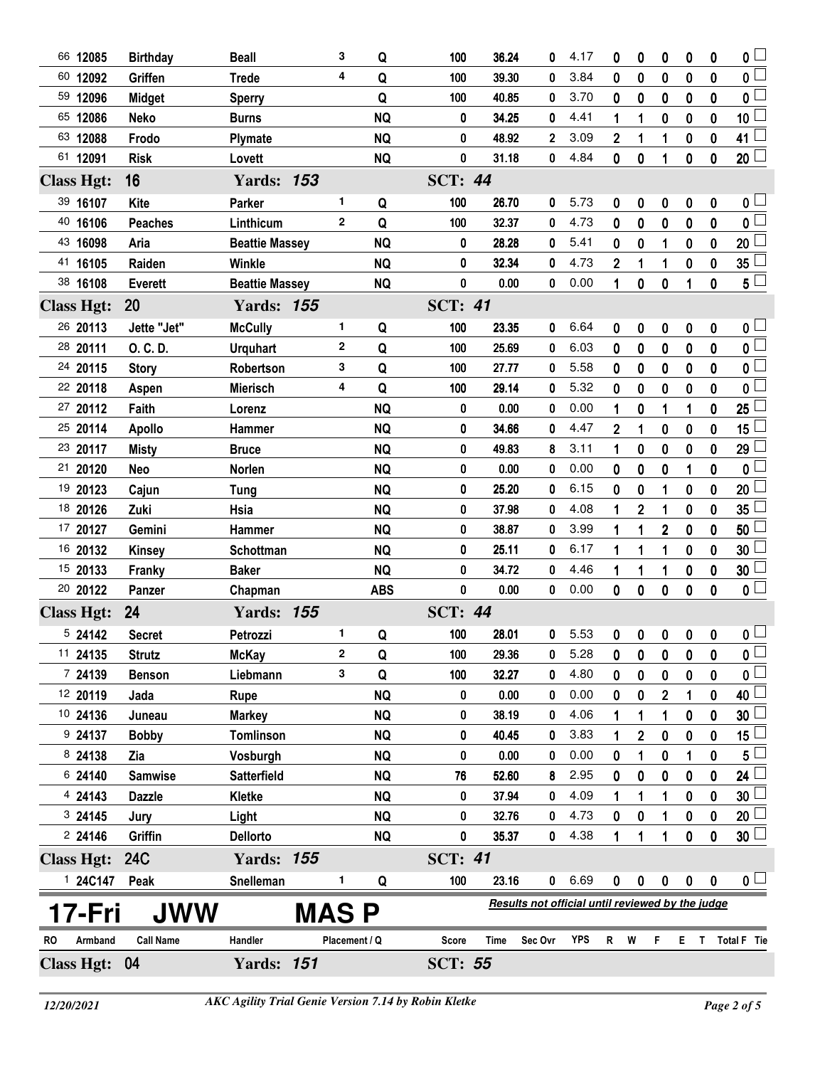| 66 12085          | <b>Birthday</b>  | <b>Beall</b>          | 3             | Q          | 100            | 36.24 | 0                                                | 4.17 | 0                | 0                | 0              | 0                | 0                | $0\perp$                |
|-------------------|------------------|-----------------------|---------------|------------|----------------|-------|--------------------------------------------------|------|------------------|------------------|----------------|------------------|------------------|-------------------------|
| 60 12092          | Griffen          | <b>Trede</b>          | 4             | Q          | 100            | 39.30 | 0                                                | 3.84 | 0                | 0                | $\bf{0}$       | $\bf{0}$         | 0                | $0\perp$                |
| 59 12096          | <b>Midget</b>    | <b>Sperry</b>         |               | Q          | 100            | 40.85 | 0                                                | 3.70 | 0                | 0                | 0              | 0                | 0                | 0 L                     |
| 65 12086          | <b>Neko</b>      | <b>Burns</b>          |               | <b>NQ</b>  | 0              | 34.25 | 0                                                | 4.41 | 1                | 1                | 0              | $\bf{0}$         | 0                | 10 <sup>1</sup>         |
| 63 12088          | Frodo            | <b>Plymate</b>        |               | <b>NQ</b>  | 0              | 48.92 | 2                                                | 3.09 | 2                | 1                | 1              | 0                | 0                | 41 <sup>1</sup>         |
| 61 12091          | <b>Risk</b>      | Lovett                |               | <b>NQ</b>  | 0              | 31.18 | 0                                                | 4.84 | $\mathbf{0}$     | 0                | 1              | $\pmb{0}$        | $\bf{0}$         | $20\perp$               |
| <b>Class Hgt:</b> | 16               | <b>Yards: 153</b>     |               |            | <b>SCT: 44</b> |       |                                                  |      |                  |                  |                |                  |                  |                         |
| 39 16107          | Kite             | <b>Parker</b>         | 1             | Q          | 100            | 26.70 | 0                                                | 5.73 | 0                | 0                | 0              | $\boldsymbol{0}$ | $\boldsymbol{0}$ | 0 <sub>1</sub>          |
| 40 16106          | <b>Peaches</b>   | Linthicum             | $\mathbf{2}$  | Q          | 100            | 32.37 | 0                                                | 4.73 | 0                | 0                | 0              | 0                | 0                | 0 <sub>1</sub>          |
| 43 16098          | Aria             | <b>Beattie Massey</b> |               | <b>NQ</b>  | 0              | 28.28 | 0                                                | 5.41 | 0                | 0                | 1              | 0                | 0                | 20                      |
| 41 16105          | Raiden           | Winkle                |               | <b>NQ</b>  | 0              | 32.34 | 0                                                | 4.73 | $\mathbf 2$      | 1                | 1              | 0                | $\mathbf 0$      | 35                      |
| 38 16108          | <b>Everett</b>   | <b>Beattie Massey</b> |               | <b>NQ</b>  | 0              | 0.00  | 0                                                | 0.00 | 1                | 0                | 0              | 1                | 0                | $5\sqcup$               |
| <b>Class Hgt:</b> | 20               | <b>Yards: 155</b>     |               |            | <b>SCT: 41</b> |       |                                                  |      |                  |                  |                |                  |                  |                         |
| 26 20113          | Jette "Jet"      | <b>McCully</b>        | 1             | Q          | 100            | 23.35 | 0                                                | 6.64 | 0                | 0                | 0              | $\pmb{0}$        | $\mathbf 0$      | 0 <sub>1</sub>          |
| 28 20111          | O. C. D.         | <b>Urquhart</b>       | $\mathbf{2}$  | Q          | 100            | 25.69 | 0                                                | 6.03 | 0                | 0                | 0              | 0                | 0                | 0 <sub>1</sub>          |
| 24 20115          | <b>Story</b>     | Robertson             | 3             | Q          | 100            | 27.77 | 0                                                | 5.58 | 0                | 0                | 0              | $\mathbf 0$      | 0                | 0 l                     |
| 22 20118          | Aspen            | <b>Mierisch</b>       | 4             | Q          | 100            | 29.14 | 0                                                | 5.32 | 0                | 0                | 0              | 0                | 0                | 0                       |
| 27 20112          | Faith            | Lorenz                |               | <b>NQ</b>  | 0              | 0.00  | 0                                                | 0.00 | 1                | 0                | 1              | 1                | 0                | 25                      |
| 25 20114          | <b>Apollo</b>    | Hammer                |               | <b>NQ</b>  | 0              | 34.66 | 0                                                | 4.47 | $\mathbf 2$      | 1                | 0              | 0                | 0                | 15                      |
| 23 20117          | <b>Misty</b>     | <b>Bruce</b>          |               | <b>NQ</b>  | 0              | 49.83 | 8                                                | 3.11 | 1                | 0                | 0              | $\mathbf 0$      | 0                | 29                      |
| 21 20120          | Neo              | Norlen                |               | <b>NQ</b>  | 0              | 0.00  | 0                                                | 0.00 | 0                | 0                | 0              | 1                | 0                | 0                       |
| 19 20123          | Cajun            | Tung                  |               | <b>NQ</b>  | 0              | 25.20 | 0                                                | 6.15 | 0                | $\bf{0}$         | 1              | $\bf{0}$         | $\mathbf 0$      | 20                      |
| 18 20126          | Zuki             | Hsia                  |               | <b>NQ</b>  | 0              | 37.98 | 0                                                | 4.08 | 1                | $\boldsymbol{2}$ | 1              | 0                | 0                | 35                      |
| 17 20127          | Gemini           | Hammer                |               | <b>NQ</b>  | 0              | 38.87 | 0                                                | 3.99 | 1                | 1                | $\overline{2}$ | $\mathbf 0$      | $\bf{0}$         | 50                      |
| 16 20132          | <b>Kinsey</b>    | Schottman             |               | <b>NQ</b>  | 0              | 25.11 | 0                                                | 6.17 | 1                | 1                | 1              | 0                | 0                | 30                      |
| 15 20133          | Franky           | <b>Baker</b>          |               | <b>NQ</b>  | 0              | 34.72 | 0                                                | 4.46 | 1                | 1                | 1              | $\bf{0}$         | 0                | 30                      |
| 20 20122          | Panzer           | Chapman               |               | <b>ABS</b> | 0              | 0.00  | 0                                                | 0.00 | 0                | 0                | 0              | $\bf{0}$         | $\mathbf 0$      | 0 <sub>1</sub>          |
| <b>Class Hgt:</b> | 24               | <b>Yards: 155</b>     |               |            | <b>SCT: 44</b> |       |                                                  |      |                  |                  |                |                  |                  |                         |
| 5 24142           | <b>Secret</b>    | Petrozzi              | 1.            | Q          | 100            | 28.01 | 0                                                | 5.53 | 0                | $\pmb{0}$        | $\pmb{0}$      | $\pmb{0}$        | $\pmb{0}$        | 0 <sub>1</sub>          |
| 11 24135          | <b>Strutz</b>    | <b>McKay</b>          | 2             | Q          | 100            | 29.36 | 0                                                | 5.28 | 0                | 0                | 0              | 0                | 0                | $\overline{\mathbf{0}}$ |
| 7 24139           | <b>Benson</b>    | Liebmann              | 3             | Q          | 100            | 32.27 | 0                                                | 4.80 | 0                | 0                | 0              | $\mathbf 0$      | $\mathbf 0$      | 0 <sup>1</sup>          |
| 12 20119          | Jada             | <b>Rupe</b>           |               | <b>NQ</b>  | 0              | 0.00  | 0                                                | 0.00 | 0                | 0                | 2              | 1                | 0                | 40 <sup>1</sup>         |
| 10 24136          | Juneau           | <b>Markey</b>         |               | <b>NQ</b>  | 0              | 38.19 | 0                                                | 4.06 |                  | 1                |                | 0                | 0                | 30                      |
| 924137            | <b>Bobby</b>     | <b>Tomlinson</b>      |               | <b>NQ</b>  | 0              | 40.45 | 0                                                | 3.83 |                  | 2                | 0              | 0                | 0                | 15                      |
| 8 24138           | Zia              | Vosburgh              |               | <b>NQ</b>  | 0              | 0.00  | 0                                                | 0.00 | 0                | 1                | 0              | 1                | $\mathbf 0$      | 5                       |
| 6 24140           | <b>Samwise</b>   | <b>Satterfield</b>    |               | <b>NQ</b>  | 76             | 52.60 | 8                                                | 2.95 | 0                | 0                | 0              | 0                | 0                | 24 <sup>1</sup>         |
| 4 24143           | <b>Dazzle</b>    | Kletke                |               | <b>NQ</b>  | 0              | 37.94 | 0                                                | 4.09 |                  | 1                |                | 0                | 0                | 30                      |
| 3 24145           | Jury             | Light                 |               | <b>NQ</b>  | 0              | 32.76 | 0                                                | 4.73 | 0                | 0                |                | 0                | 0                | 20 <sup>1</sup>         |
| 224146            | Griffin          | <b>Dellorto</b>       |               | <b>NQ</b>  | 0              | 35.37 | 0                                                | 4.38 | 1                | 1                | 1              | $\mathbf 0$      | $\mathbf 0$      | $30\perp$               |
| <b>Class Hgt:</b> | <b>24C</b>       | <b>Yards: 155</b>     |               |            | <b>SCT: 41</b> |       |                                                  |      |                  |                  |                |                  |                  |                         |
| 1 24C147          | Peak             | Snelleman             | 1             | Q          | 100            | 23.16 | 0                                                | 6.69 | $\boldsymbol{0}$ | 0                | $\mathbf 0$    | $\boldsymbol{0}$ | $\bf{0}$         | 0 <sub>1</sub>          |
|                   |                  |                       |               |            |                |       | Results not official until reviewed by the judge |      |                  |                  |                |                  |                  |                         |
| 17-Fri            | <b>JWW</b>       |                       | <b>MAS P</b>  |            |                |       |                                                  |      |                  |                  |                |                  |                  |                         |
| Armband<br>RO.    | <b>Call Name</b> | Handler               | Placement / Q |            | <b>Score</b>   | Time  | Sec Ovr                                          | YPS  | $\mathsf{R}$     | W                | F.             |                  |                  | E T Total F Tie         |
| Class Hgt: 04     |                  | <b>Yards: 151</b>     |               |            | <b>SCT: 55</b> |       |                                                  |      |                  |                  |                |                  |                  |                         |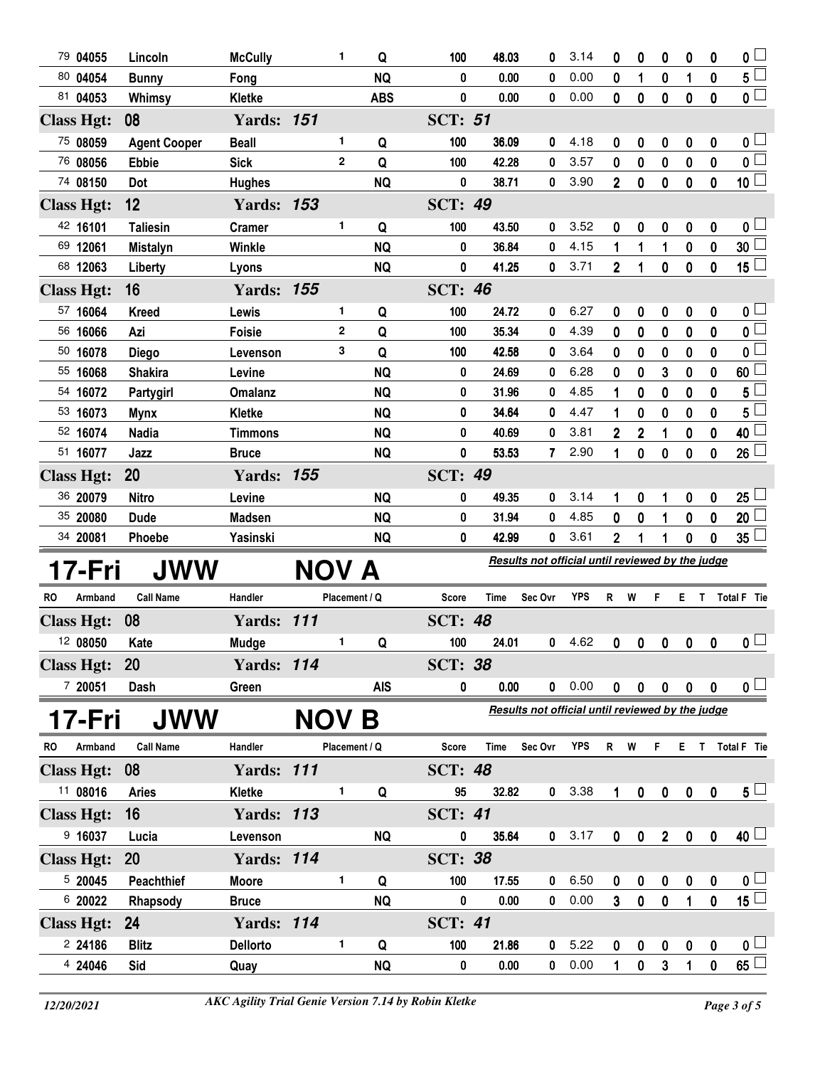| 79 04055             | Lincoln             | <b>McCully</b>          |            | 1              | Q              | 100            | 48.03         | 0                                                | 3.14         | 0                | 0              | 0                 | 0                   | 0                | 0                                  |
|----------------------|---------------------|-------------------------|------------|----------------|----------------|----------------|---------------|--------------------------------------------------|--------------|------------------|----------------|-------------------|---------------------|------------------|------------------------------------|
| 80 04054             | <b>Bunny</b>        | Fong                    |            |                | <b>NQ</b>      | 0              | 0.00          | 0                                                | 0.00         | 0                | 1              | 0                 | 1                   | $\bf{0}$         | $5^{\square}$                      |
| 81 04053             | Whimsy              | Kletke                  |            |                | <b>ABS</b>     | 0              | 0.00          | 0                                                | 0.00         | 0                | 0              | 0                 | $\bf{0}$            | $\boldsymbol{0}$ | $\overline{\mathbf{0}}$            |
| <b>Class Hgt:</b>    | 08                  | <b>Yards: 151</b>       |            |                |                | <b>SCT: 51</b> |               |                                                  |              |                  |                |                   |                     |                  |                                    |
| 75 08059             | <b>Agent Cooper</b> | <b>Beall</b>            |            | 1.             | Q              | 100            | 36.09         | 0                                                | 4.18         | 0                | 0              | 0                 | 0                   | 0                | 0 <sub>0</sub>                     |
| 76 08056             | <b>Ebbie</b>        | <b>Sick</b>             |            | $\overline{2}$ | Q              | 100            | 42.28         | 0                                                | 3.57         | 0                | 0              | 0                 | 0                   | 0                | $\overline{\mathbf{0}}$            |
| 74 08150             | Dot                 | <b>Hughes</b>           |            |                | <b>NQ</b>      | 0              | 38.71         | 0                                                | 3.90         | $\overline{2}$   | $\bf{0}$       | $\mathbf 0$       | $\bf{0}$            | $\mathbf{0}$     | 10 <sup>1</sup>                    |
| <b>Class Hgt:</b>    | 12                  | <b>Yards: 153</b>       |            |                |                | <b>SCT: 49</b> |               |                                                  |              |                  |                |                   |                     |                  |                                    |
| 42 16101             | <b>Taliesin</b>     | <b>Cramer</b>           |            | 1              | Q              | 100            | 43.50         | 0                                                | 3.52         | 0                | 0              | 0                 | 0                   | 0                | 0 <sub>1</sub>                     |
| 69 12061             | <b>Mistalyn</b>     | <b>Winkle</b>           |            |                | <b>NQ</b>      | 0              | 36.84         | 0                                                | 4.15         | 1                | 1              | 1                 | 0                   | $\pmb{0}$        | 30 <sup>1</sup>                    |
| 68 12063             | Liberty             | Lyons                   |            |                | <b>NQ</b>      | 0              | 41.25         | 0                                                | 3.71         | $\overline{2}$   | 1              | 0                 | $\mathbf 0$         | $\mathbf 0$      | $15\square$                        |
| <b>Class Hgt:</b>    | 16                  | <b>Yards: 155</b>       |            |                |                | <b>SCT: 46</b> |               |                                                  |              |                  |                |                   |                     |                  |                                    |
| 57 16064             | <b>Kreed</b>        | Lewis                   |            | 1              | Q              | 100            | 24.72         | 0                                                | 6.27         | 0                | 0              | 0                 | 0                   | 0                | 0 <sub>1</sub>                     |
| 56 16066             | Azi                 | <b>Foisie</b>           |            | $\mathbf{2}$   | Q              | 100            | 35.34         | 0                                                | 4.39         | 0                | 0              | 0                 | 0                   | 0                | $\overline{\mathbf{0}}$            |
| 50 16078             | <b>Diego</b>        | Levenson                |            | 3              | Q              | 100            | 42.58         | 0                                                | 3.64         | 0                | 0              | 0                 | 0                   | 0                | 0 <sup>1</sup>                     |
| 55 16068             | <b>Shakira</b>      | Levine                  |            |                | <b>NQ</b>      | 0              | 24.69         | 0                                                | 6.28         | 0                | 0              | 3                 | 0                   | 0                | 60                                 |
| 54 16072             | Partygirl           | <b>Omalanz</b>          |            |                | <b>NQ</b>      | 0              | 31.96         | 0                                                | 4.85         | 1                | 0              | 0                 | 0                   | 0                | 5                                  |
| 53 16073             | <b>Mynx</b>         | <b>Kletke</b>           |            |                | <b>NQ</b>      | 0              | 34.64         | 0                                                | 4.47         | 1                | 0              | 0                 | 0                   | 0                | 5                                  |
| 52 16074             | <b>Nadia</b>        | <b>Timmons</b>          |            |                | <b>NQ</b>      | 0              | 40.69         | 0                                                | 3.81         | $\mathbf 2$      | $\overline{2}$ | 1                 | 0                   | 0                | 40                                 |
| 51 16077             | Jazz                | <b>Bruce</b>            |            |                | <b>NQ</b>      | 0              | 53.53         | 7                                                | 2.90         | 1                | 0              | 0                 | 0                   | 0                | 26 <sup>1</sup>                    |
| <b>Class Hgt:</b>    | 20                  | <b>Yards: 155</b>       |            |                |                | <b>SCT: 49</b> |               |                                                  |              |                  |                |                   |                     |                  |                                    |
| 36 20079             | <b>Nitro</b>        | Levine                  |            |                | <b>NQ</b>      | 0              | 49.35         | 0                                                | 3.14         | 1                | 0              | 1                 | 0                   | 0                | 25 <sup>1</sup>                    |
|                      |                     |                         |            |                |                |                |               |                                                  |              |                  |                |                   |                     |                  |                                    |
| 35 20080             | <b>Dude</b>         | <b>Madsen</b>           |            |                | <b>NQ</b>      | 0              | 31.94         | 0                                                | 4.85         | 0                | 0              | 1                 | $\bf{0}$            | $\pmb{0}$        | 20 <sup>1</sup>                    |
| 34 20081             | Phoebe              | Yasinski                |            |                | <b>NQ</b>      | 0              | 42.99         | 0                                                | 3.61         | $\overline{2}$   | 1              | 1                 | $\bf{0}$            | $\bf{0}$         | 35 <sup>1</sup>                    |
|                      |                     |                         |            |                |                |                |               | Results not official until reviewed by the judge |              |                  |                |                   |                     |                  |                                    |
| 17-Fri               | JWW                 |                         | <b>NOV</b> |                | A              |                |               |                                                  |              |                  |                |                   |                     |                  |                                    |
| <b>RO</b><br>Armband | <b>Call Name</b>    | Handler                 |            | Placement / Q  |                | <b>Score</b>   | Time          | Sec Ovr                                          | <b>YPS</b>   | R                | W              | F                 | Е                   | T                | Total F Tie                        |
| <b>Class Hgt:</b>    | 08                  | <b>Yards: 111</b>       |            |                |                | <b>SCT: 48</b> |               |                                                  |              |                  |                |                   |                     |                  |                                    |
| 12 08050             | Kate                | Mudge                   |            | 1              | Q              | 100            | 24.01         | 0                                                | 4.62         | 0                | 0              | 0                 | $\boldsymbol{0}$    | 0                | $\mathbf{0}$ $\Box$                |
| <b>Class Hgt:</b>    | 20                  | <b>Yards: 114</b>       |            |                |                | <b>SCT: 38</b> |               |                                                  |              |                  |                |                   |                     |                  |                                    |
| 7 20051              | Dash                | Green                   |            |                | <b>AIS</b>     | 0              | 0.00          | $\mathbf 0$                                      | 0.00         |                  | $0\quad 0$     |                   | $0 \quad 0 \quad 0$ |                  | $\mathfrak{o} \sqcup$              |
|                      |                     |                         |            |                |                |                |               | Results not official until reviewed by the judge |              |                  |                |                   |                     |                  |                                    |
| 17-Fri<br>RO         | <b>JWW</b>          | Handler                 | NOV        |                | Β              |                | Time          |                                                  | <b>YPS</b>   |                  |                | F.                |                     |                  |                                    |
| Armband              | <b>Call Name</b>    |                         |            | Placement / Q  |                | <b>Score</b>   |               | Sec Ovr                                          |              | R W              |                |                   |                     |                  | E T Total F Tie                    |
| <b>Class Hgt:</b>    | 08                  | <b>Yards: 111</b>       |            | 1              |                | <b>SCT: 48</b> |               |                                                  |              |                  |                |                   |                     |                  |                                    |
| 11 08016             | <b>Aries</b>        | <b>Kletke</b>           |            |                | Q              | 95             | 32.82         | $\mathbf 0$                                      | 3.38         | 1                | 0              | 0                 | $\pmb{0}$           | $\boldsymbol{0}$ | $5\sqcup$                          |
| <b>Class Hgt:</b>    | 16                  | <b>Yards: 113</b>       |            |                |                | <b>SCT: 41</b> |               |                                                  |              |                  |                |                   |                     |                  |                                    |
| 9 16037              | Lucia               | Levenson                |            |                | <b>NQ</b>      | 0              | 35.64         | $\mathbf{0}$                                     | 3.17         | $\mathbf 0$      | $\pmb{0}$      | 2 <sup>1</sup>    | $\pmb{0}$           | $\pmb{0}$        | 40 <sup>1</sup>                    |
| <b>Class Hgt:</b>    | 20                  | <b>Yards: 114</b>       |            |                |                | <b>SCT: 38</b> |               |                                                  |              |                  |                |                   |                     |                  |                                    |
| 5 20045              | Peachthief          | <b>Moore</b>            |            | 1              | Q              | 100            | 17.55         | 0                                                | 6.50         | $\boldsymbol{0}$ | 0              | 0                 | $\bf{0}$            | $\boldsymbol{0}$ | 0 <sub>1</sub>                     |
| 6 20022              | Rhapsody            | <b>Bruce</b>            |            |                | <b>NQ</b>      | 0              | 0.00          | 0                                                | 0.00         | $\mathbf{3}$     | $\pmb{0}$      | $\mathbf 0$       | 1                   | $\mathbf 0$      | $\overline{15}$                    |
| <b>Class Hgt:</b>    | 24                  | <b>Yards: 114</b>       |            |                |                | <b>SCT: 41</b> |               |                                                  |              |                  |                |                   |                     |                  |                                    |
| 2 24186<br>4 24046   | <b>Blitz</b><br>Sid | <b>Dellorto</b><br>Quay |            | 1              | Q<br><b>NQ</b> | 100<br>0       | 21.86<br>0.00 | 0<br>0                                           | 5.22<br>0.00 | 0<br>1           | 0<br>$\pmb{0}$ | 0<br>$\mathbf{3}$ | $\pmb{0}$<br>1      | 0<br>$\pmb{0}$   | 0 <sub>1</sub><br>$\underline{65}$ |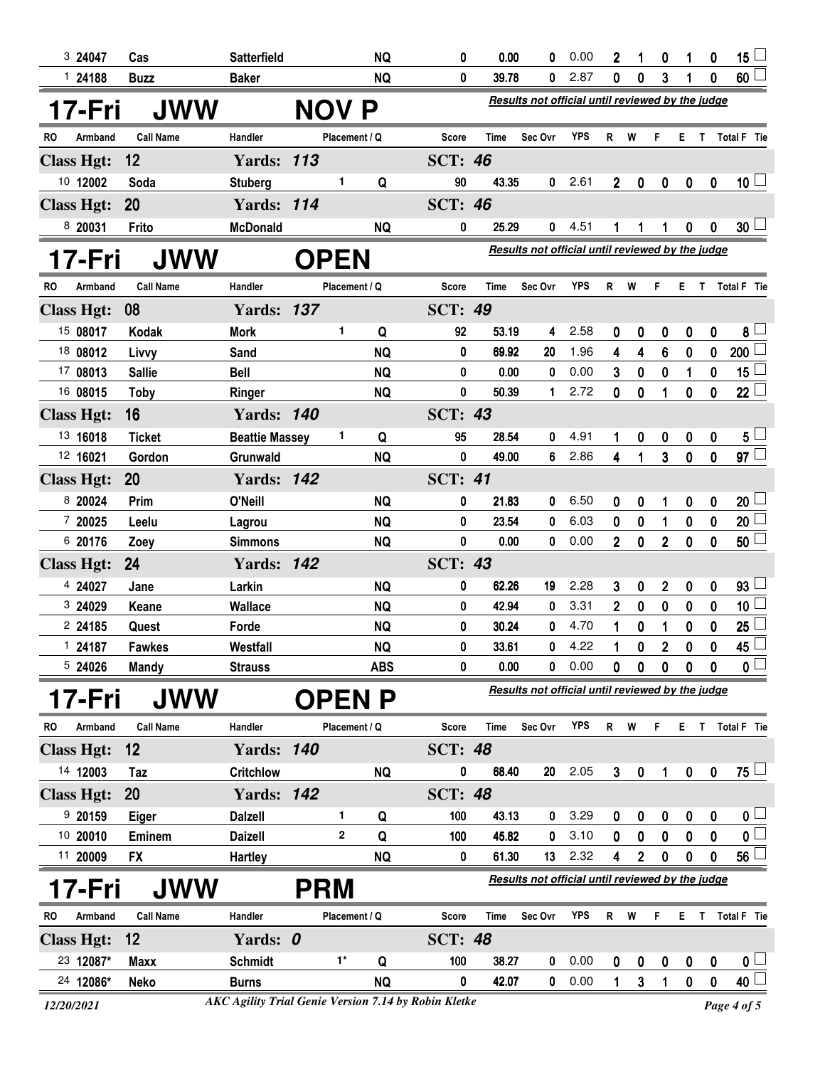| 3 24047           | Cas              | Satterfield           |                | <b>NQ</b>     | 0              | 0.00  | 0                                                | 0.00       | 2              | 1            | 0              | 1                | 0           | 15 $\lfloor$            |
|-------------------|------------------|-----------------------|----------------|---------------|----------------|-------|--------------------------------------------------|------------|----------------|--------------|----------------|------------------|-------------|-------------------------|
| 124188            | <b>Buzz</b>      | <b>Baker</b>          |                | <b>NQ</b>     | 0              | 39.78 | 0                                                | 2.87       | 0              | 0            | 3              |                  | 0           | $60\perp$               |
| 17-Fri            | <b>JWW</b>       |                       | <b>NOV</b>     | P             |                |       | Results not official until reviewed by the judge |            |                |              |                |                  |             |                         |
| Armband<br>RO.    | <b>Call Name</b> | Handler               |                | Placement / Q | <b>Score</b>   | Time  | Sec Ovr                                          | <b>YPS</b> | R              | W            | F              | E.               |             | T Total F Tie           |
| <b>Class Hgt:</b> | 12               | <b>Yards: 113</b>     |                |               | <b>SCT: 46</b> |       |                                                  |            |                |              |                |                  |             |                         |
| 10 12002          | Soda             | <b>Stuberg</b>        | 1              | Q             | 90             | 43.35 | $\mathbf{0}$                                     | 2.61       | $\mathbf{2}$   | 0            | 0              | $\boldsymbol{0}$ | $\bf{0}$    | 10 <sup>1</sup>         |
| <b>Class Hgt:</b> | 20               | <b>Yards: 114</b>     |                |               | <b>SCT: 46</b> |       |                                                  |            |                |              |                |                  |             |                         |
| 8 20031           | Frito            | <b>McDonald</b>       |                | <b>NQ</b>     | 0              | 25.29 | 0                                                | 4.51       | 1              | 1            | 1              | 0                | $\bf{0}$    | $30\lfloor$             |
| 17-Fri            | <b>JWW</b>       |                       | <b>OPEN</b>    |               |                |       | Results not official until reviewed by the judge |            |                |              |                |                  |             |                         |
| Armband<br>RO     | <b>Call Name</b> | Handler               |                | Placement / Q | Score          | Time  | Sec Ovr                                          | <b>YPS</b> | R              | W            | F.             | Е                | T           | Total F Tie             |
| <b>Class Hgt:</b> | 08               | <b>Yards: 137</b>     |                |               | <b>SCT: 49</b> |       |                                                  |            |                |              |                |                  |             |                         |
| 15 08017          | Kodak            | <b>Mork</b>           | 1              | Q             | 92             | 53.19 | 4                                                | 2.58       | 0              | 0            | 0              | 0                | $\mathbf 0$ | 8 <sup>L</sup>          |
| 18 08012          | Livvy            | Sand                  |                | <b>NQ</b>     | 0              | 69.92 | 20                                               | 1.96       | 4              | 4            | 6              | 0                | 0           | 200 <sup>1</sup>        |
| 17 08013          | <b>Sallie</b>    | <b>Bell</b>           |                | <b>NQ</b>     | 0              | 0.00  | 0                                                | 0.00       | 3              | 0            | 0              | 1                | 0           | 15                      |
| 16 08015          | <b>Toby</b>      | Ringer                |                | <b>NQ</b>     | 0              | 50.39 | $\mathbf 1$                                      | 2.72       | 0              | 0            | 1              | 0                | 0           | $22\perp$               |
| <b>Class Hgt:</b> | 16               | <b>Yards: 140</b>     |                |               | <b>SCT: 43</b> |       |                                                  |            |                |              |                |                  |             |                         |
| 13 16018          | <b>Ticket</b>    | <b>Beattie Massey</b> | 1              | Q             | 95             | 28.54 | 0                                                | 4.91       | 1              | 0            | 0              | 0                | 0           | $5^{\perp}$             |
| 12 16021          | Gordon           | Grunwald              |                | <b>NQ</b>     | 0              | 49.00 | 6                                                | 2.86       | 4              | 1            | 3              | 0                | 0           | $97\Box$                |
| <b>Class Hgt:</b> | 20               | <b>Yards: 142</b>     |                |               | <b>SCT: 41</b> |       |                                                  |            |                |              |                |                  |             |                         |
| 8 20024           | Prim             | O'Neill               |                | <b>NQ</b>     | 0              | 21.83 | 0                                                | 6.50       | 0              | 0            | 1              | 0                | 0           | 20 <sup>1</sup>         |
| 7 20025           | Leelu            | Lagrou                |                | <b>NQ</b>     | 0              | 23.54 | 0                                                | 6.03       | 0              | $\bf{0}$     | 1              | 0                | 0           | $20\lfloor$             |
| 6 20176           | Zoey             | <b>Simmons</b>        |                | <b>NQ</b>     | 0              | 0.00  | 0                                                | 0.00       | $\overline{2}$ | $\bf{0}$     | $\overline{2}$ | 0                | 0           | $50\perp$               |
| <b>Class Hgt:</b> | 24               | <b>Yards: 142</b>     |                |               | <b>SCT: 43</b> |       |                                                  |            |                |              |                |                  |             |                         |
| 4 24027           | Jane             | Larkin                |                | <b>NQ</b>     | 0              | 62.26 | 19                                               | 2.28       | 3              | 0            | 2              | 0                | 0           | $93\perp$               |
| 3 24029           | Keane            | Wallace               |                | <b>NQ</b>     | 0              | 42.94 | 0                                                | 3.31       | 2              | 0            | 0              | 0                | 0           | 10 <sup>1</sup>         |
| 2 24185           | Quest            | Forde                 |                | <b>NQ</b>     | 0              | 30.24 | 0                                                | 4.70       | 1              | 0            |                | 0                | 0           | 25 <sup>1</sup>         |
| 124187            | Fawkes           | Westfall              |                | <b>NQ</b>     | 0              | 33.61 | 0                                                | 4.22       | 1              | $\mathbf{0}$ | $\mathbf{2}$   | 0                | 0           | 45                      |
| 5 24026           | Mandy            | <b>Strauss</b>        |                | <b>ABS</b>    | 0              | 0.00  | 0                                                | 0.00       | 0              | 0            | 0              | 0                | 0           | 0 <sub>0</sub>          |
| 17-Fri            | <b>JWW</b>       |                       | <b>OPENP</b>   |               |                |       | Results not official until reviewed by the judge |            |                |              |                |                  |             |                         |
| Armband<br>RO     | <b>Call Name</b> | Handler               |                | Placement / Q | Score          | Time  | Sec Ovr                                          | <b>YPS</b> | R              | W            | F.             | E.               |             | T Total F Tie           |
| <b>Class Hgt:</b> | 12               | <b>Yards: 140</b>     |                |               | <b>SCT: 48</b> |       |                                                  |            |                |              |                |                  |             |                         |
| 14 12003          | Taz              | <b>Critchlow</b>      |                | <b>NQ</b>     | 0              | 68.40 | 20                                               | 2.05       | 3              | 0            |                | $\pmb{0}$        | $\mathbf 0$ | $75 \Box$               |
| <b>Class Hgt:</b> | <b>20</b>        | <b>Yards: 142</b>     |                |               | <b>SCT: 48</b> |       |                                                  |            |                |              |                |                  |             |                         |
| 920159            | Eiger            | <b>Dalzell</b>        | 1.             | Q             | 100            | 43.13 | 0                                                | 3.29       | 0              | 0            | 0              | 0                | 0           | $0\sqcup$               |
| 10 20010          | Eminem           | <b>Daizell</b>        | $\overline{2}$ | Q             | 100            | 45.82 | 0                                                | 3.10       | 0              | 0            | $\mathbf 0$    | $\mathbf 0$      | 0           | $\overline{\mathbf{0}}$ |
| 11 20009          | <b>FX</b>        | <b>Hartley</b>        |                | <b>NQ</b>     | 0              | 61.30 | 13                                               | 2.32       | 4              | $\mathbf{2}$ | $\mathbf 0$    | 0                | 0           | 56 <sup>1</sup>         |
| 17-Fri            | <b>JWW</b>       |                       | <b>PRM</b>     |               |                |       | Results not official until reviewed by the judge |            |                |              |                |                  |             |                         |
| RO<br>Armband     | <b>Call Name</b> | Handler               |                | Placement / Q | Score          | Time  | Sec Ovr                                          | YPS        | R              | W            | F.             | E.               |             | T Total F Tie           |
| <b>Class Hgt:</b> | 12               | Yards: 0              |                |               | <b>SCT: 48</b> |       |                                                  |            |                |              |                |                  |             |                         |
| 23 12087*         | Maxx             | <b>Schmidt</b>        | $1^*$          | Q             | 100            | 38.27 | 0                                                | 0.00       | 0              | 0            | 0              | 0                | $\mathbf 0$ | $\mathbf{0}$ $\Box$     |
| 24 12086*         | <b>Neko</b>      | <b>Burns</b>          |                | <b>NQ</b>     | 0              | 42.07 | $\mathbf 0$                                      | 0.00       | 1              | 3            | 1              | $\pmb{0}$        | $\mathbf 0$ | $40\perp$               |

*12/20/2021 Page 4 of 5 AKC Agility Trial Genie Version 7.14 by Robin Kletke*